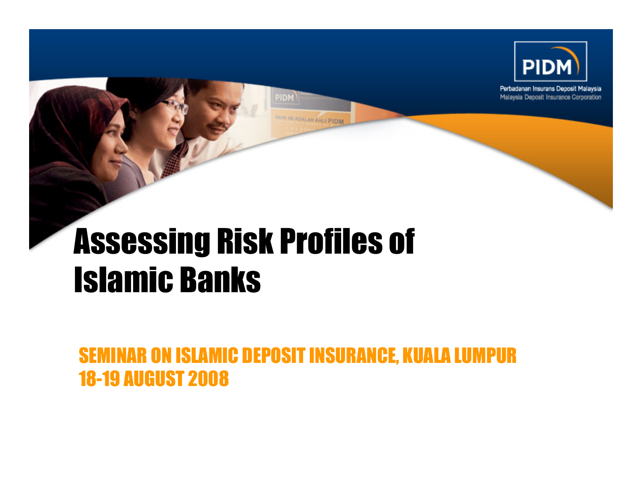

Perbadanan Insurans Deposit Malaysia Malaysia Deposit Insurance Corporation



SEMINAR ON ISLAMIC DEPOSIT INSURANCE, KUALA LUMPUR18-19 AUGUST 2008

PIDM

K INTADALAH AHLI PIDM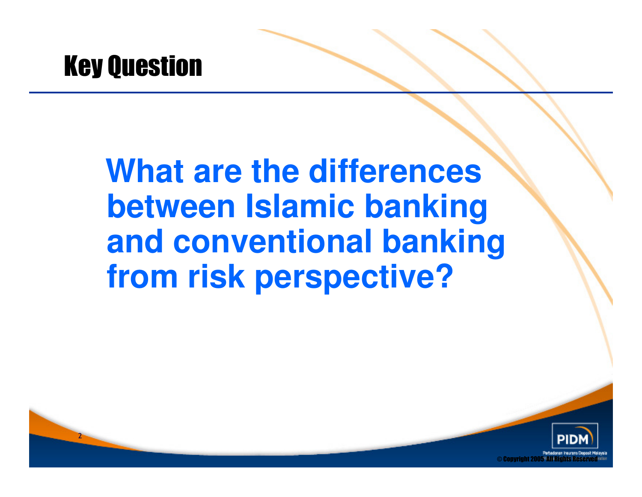

2

## **What are the differences between Islamic banking and conventional banking from risk perspective?**

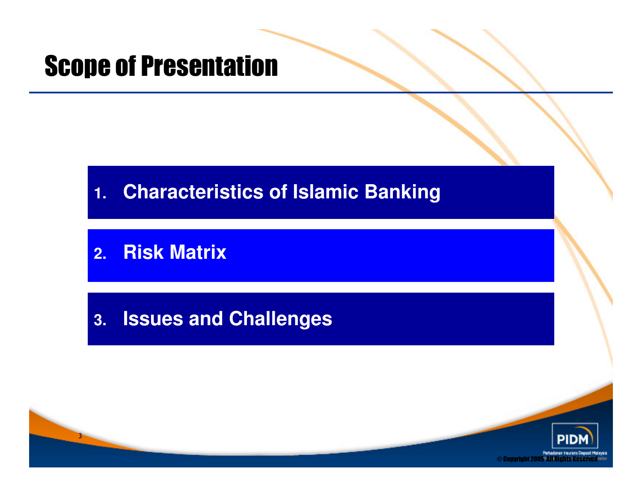#### Scope of Presentation

#### **1.Characteristics of Islamic Banking**

#### **2.Risk Matrix**

#### **3.Issues and Challenges**

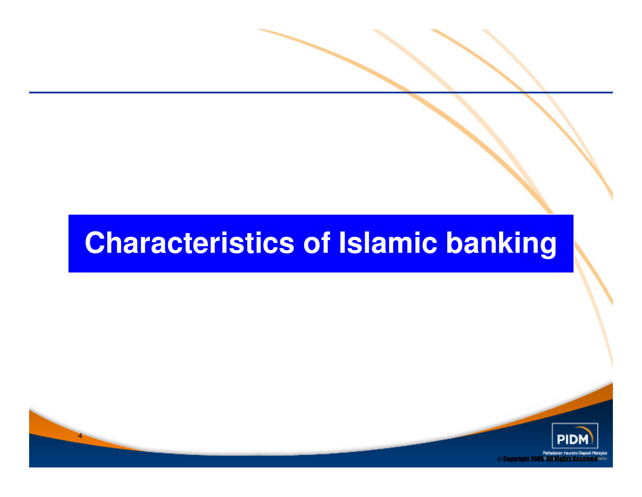## **Characteristics of Islamic banking**

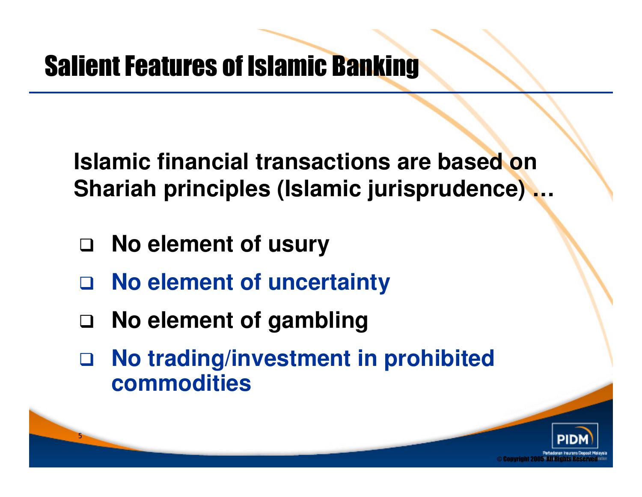**Islamic financial transactions are based on Shariah principles (Islamic jurisprudence) …**

**No element of usury** 

- $\Box$ **No element of uncertainty**
- $\Box$ **No element of gambling**
- $\Box$  **No trading/investment in prohibited commodities**

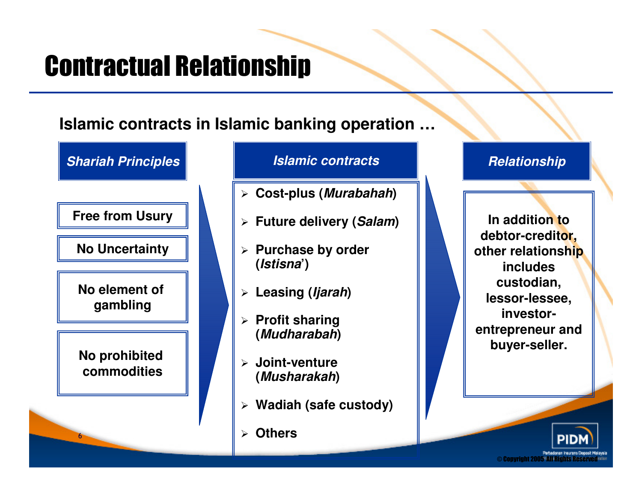## Contractual Relationship

**Islamic contracts in Islamic banking operation …**



#### **Islamic contracts**

- **Cost-plus (Murabahah)**
- **Future delivery (Salam)**
- **Purchase by order (Istisna')**
- **Leasing (Ijarah)**
- **Profit sharing (Mudharabah)**
- **Joint-venture (Musharakah)**
- **Wadiah (safe custody)**
- **Others**

#### **Relationship**

**In addition to debtor-creditor, other relationship includes custodian, lessor-lessee, investorentrepreneur and buyer-seller.** 

© Copyright 2005 All Rights Reserv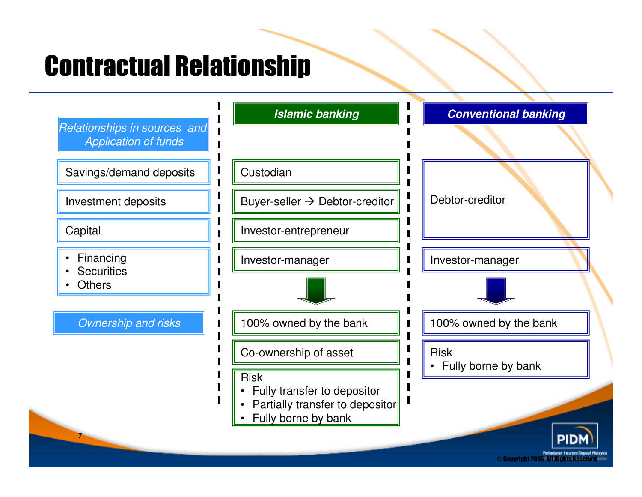## Contractual Relationship

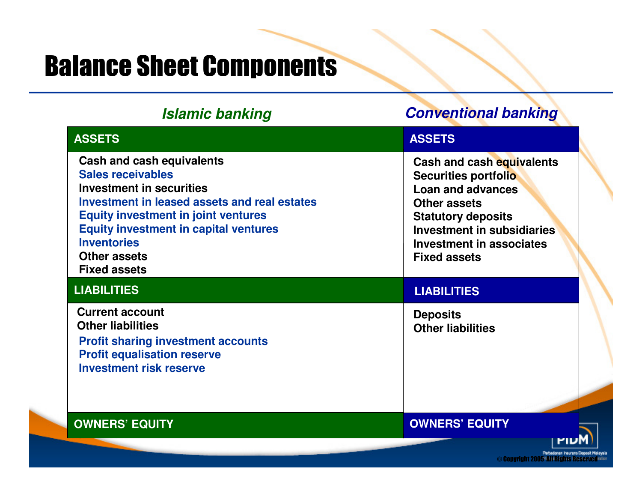## Balance Sheet Components

| <b>Islamic banking</b>                                                                                                                                                                                                                                                                                            | <b>Conventional banking</b>                                                                                                                                                                                        |
|-------------------------------------------------------------------------------------------------------------------------------------------------------------------------------------------------------------------------------------------------------------------------------------------------------------------|--------------------------------------------------------------------------------------------------------------------------------------------------------------------------------------------------------------------|
| <b>ASSETS</b>                                                                                                                                                                                                                                                                                                     | <b>ASSETS</b>                                                                                                                                                                                                      |
| <b>Cash and cash equivalents</b><br><b>Sales receivables</b><br><b>Investment in securities</b><br>Investment in leased assets and real estates<br><b>Equity investment in joint ventures</b><br><b>Equity investment in capital ventures</b><br><b>Inventories</b><br><b>Other assets</b><br><b>Fixed assets</b> | Cash and cash equivalents<br>Securities portfolio<br>Loan and advances<br><b>Other assets</b><br><b>Statutory deposits</b><br><b>Investment in subsidiaries</b><br>Investment in associates<br><b>Fixed assets</b> |
| <b>LIABILITIES</b>                                                                                                                                                                                                                                                                                                | <b>LIABILITIES</b>                                                                                                                                                                                                 |
| <b>Current account</b><br><b>Other liabilities</b><br><b>Profit sharing investment accounts</b><br><b>Profit equalisation reserve</b><br><b>Investment risk reserve</b>                                                                                                                                           | <b>Deposits</b><br><b>Other liabilities</b>                                                                                                                                                                        |
| <b>OWNERS' EQUITY</b>                                                                                                                                                                                                                                                                                             | <b>OWNERS' EQUITY</b>                                                                                                                                                                                              |
|                                                                                                                                                                                                                                                                                                                   | Perbadanan Insurans Deposit Malaysia                                                                                                                                                                               |

 $\odot$  Copyright 2005  $\,$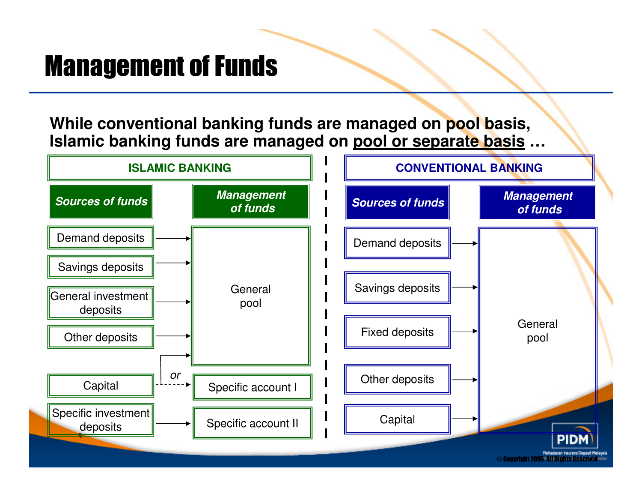## Management of Funds

**While conventional banking funds are managed on pool basis, Islamic banking funds are managed on pool or separate basis …**

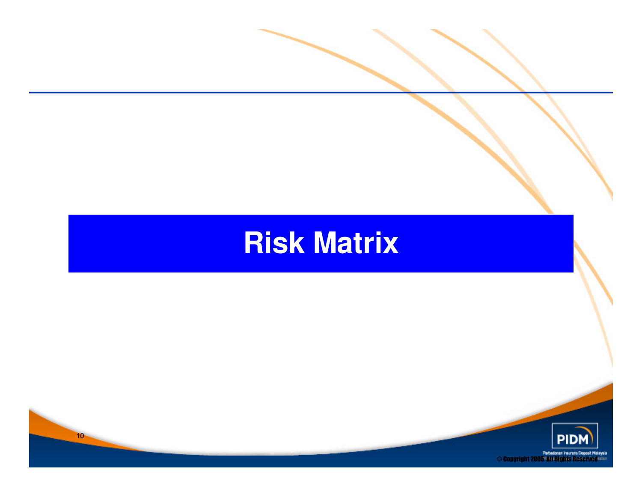## **Risk Matrix**

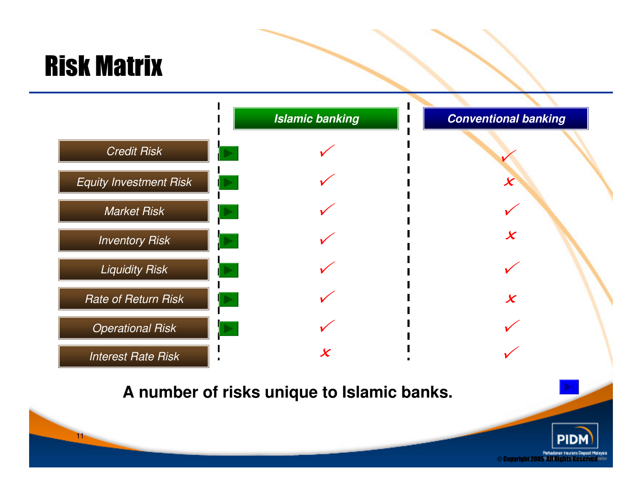## Risk Matrix

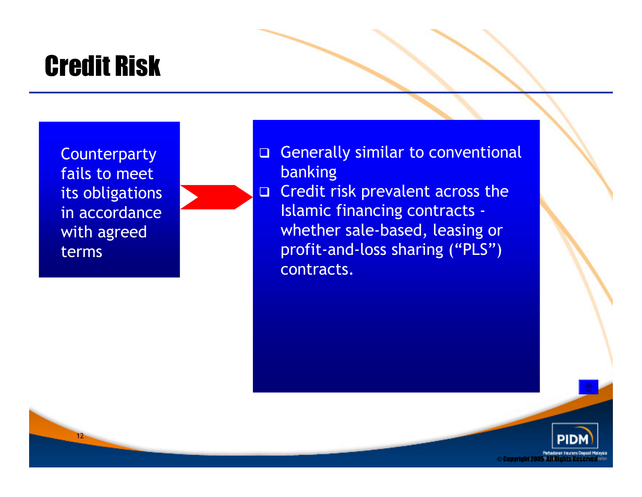## Credit Risk

**Counterparty** fails to meet its obligations in accordance with agreed terms

12



 $\Box$  Credit risk prevalent across the Islamic financing contracts whether sale-based, leasing or profit-and-loss sharing ("PLS") contracts.

© Copyright 2005' All Rights Reserv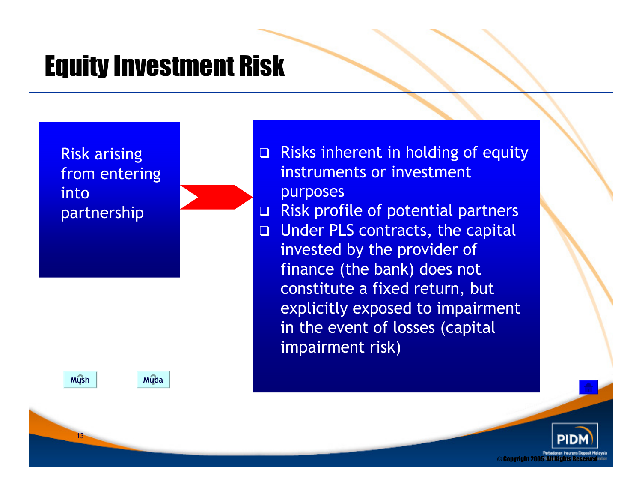### Equity Investment Risk

Risk arising from entering into partnership

**Mush** 

Muda

 $\Box$  Risks inherent in holding of equity instruments or investment purposes

- $\Box$ Risk profile of potential partners
- $\Box$  Under PLS contracts, the capital invested by the provider of finance (the bank) does not constitute a fixed return, but explicitly exposed to impairment in the event of losses (capital impairment risk)

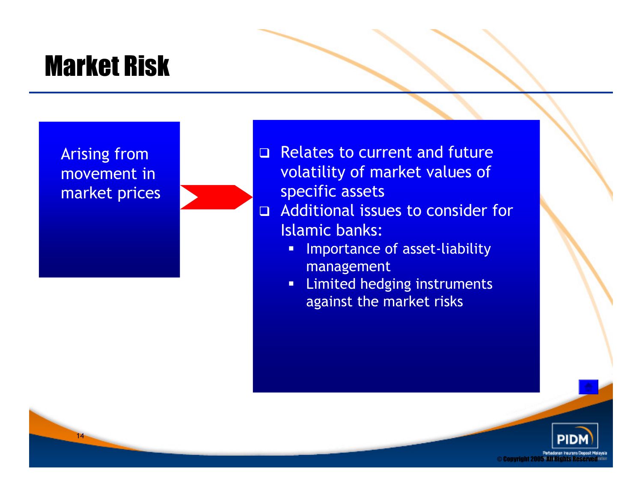## Market Risk

Arising from movement in market prices

14

- Relates to current and future volatility of market values of specific assets
- Additional issues to consider for  $\Box$ Islamic banks:
	- **Importance of asset-liability**  $\blacksquare$ management
	- **EXECUTE: Limited hedging instruments** against the market risks

 $\odot$  Copyright 2005 $\,$  All Rights Reserv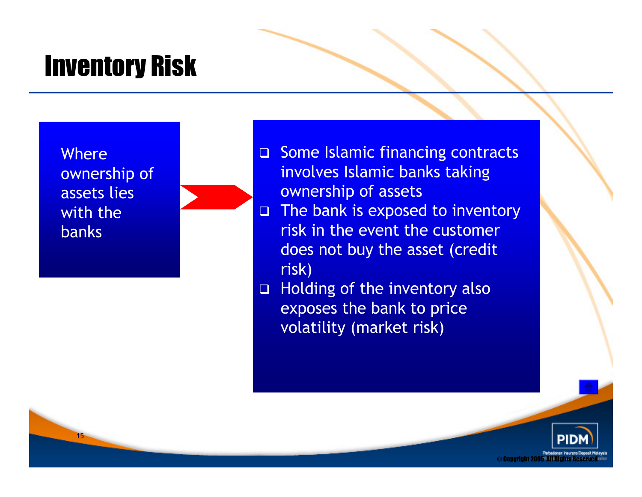## Inventory Risk

**Where** ownership of assets lies with the banks

- **□** Some Islamic financing contracts involves Islamic banks taking ownership of assets
- □ The bank is exposed to inventory  $\Box$ risk in the event the customer does not buy the asset (credit risk)
- □ Holding of the inventory also exposes the bank to price volatility (market risk)

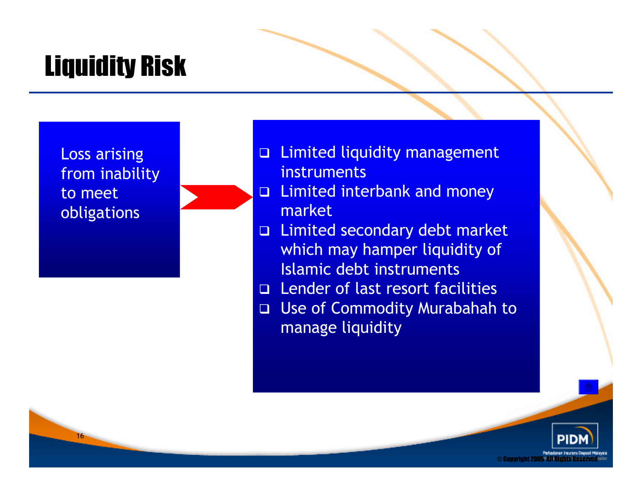## Liquidity Risk

Loss arising from inability to meet obligations

16

 Limited liquidity management instruments

- □ Limited interbank and money  $\Box$ market
- **□** Limited secondary debt market which may hamper liquidity of Islamic debt instruments
- **□** Lender of last resort facilities
- Use of Commodity Murabahah to manage liquidity

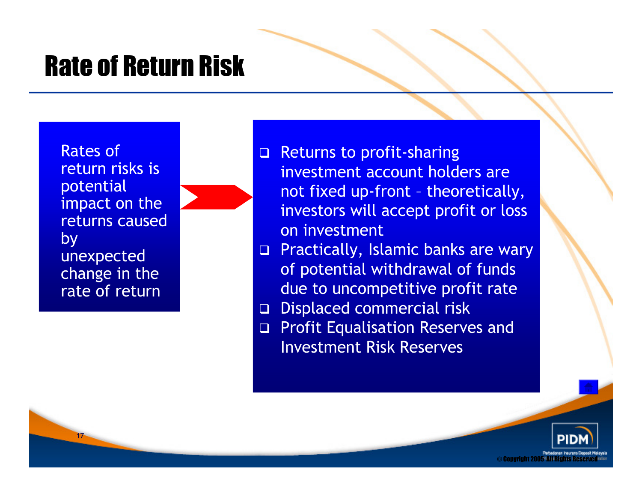### Rate of Return Risk

Rates of return risks is potential impact on the returns caused by unexpected change in the rate of return

- Returns to profit-sharing investment account holders are not fixed up-front – theoretically, investors will accept profit or loss on investment
- $\Box$  Practically, Islamic banks are wary of potential withdrawal of funds due to uncompetitive profit rate
- □ Displaced commercial risk
- **D** Profit Equalisation Reserves and Investment Risk Reserves

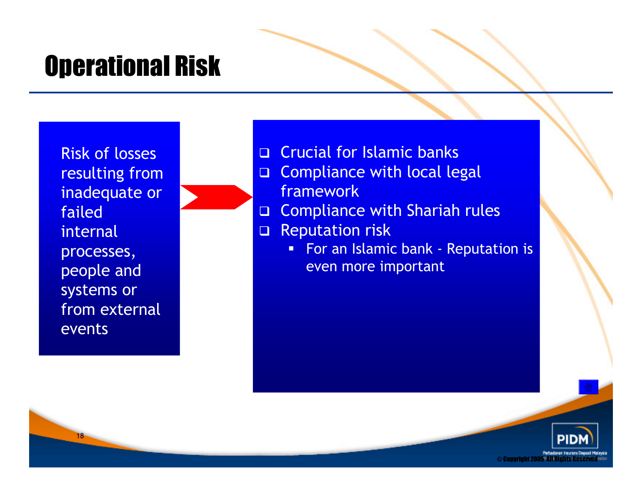## Operational Risk

Risk of losses resulting from inadequate or failed internal processes, people and systems or from external events

- **Q** Crucial for Islamic banks
- $\Box$ **Compliance with local legal** framework
- □ Compliance with Shariah rules  $\Box$
- $\Box$  Reputation risk
	- **For an Islamic bank Reputation is** even more important

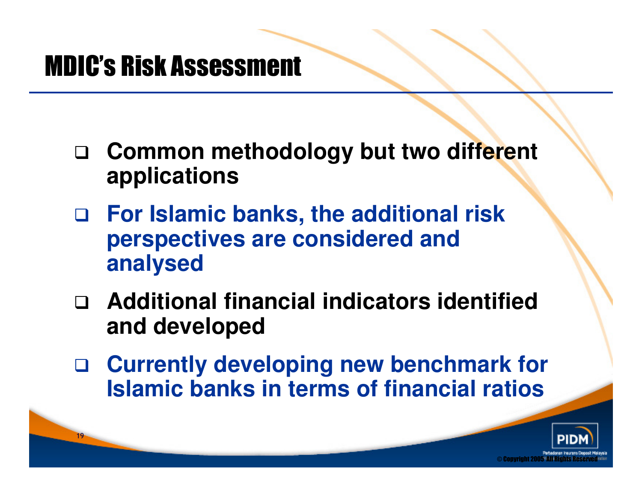### MDIC's Risk Assessment

- $\Box$  **Common methodology but two different applications**
- $\Box$  **For Islamic banks, the additional risk perspectives are considered and analysed**
- **Additional financial indicators identified and developed**
- $\Box$  **Currently developing new benchmark for Islamic banks in terms of financial ratios**

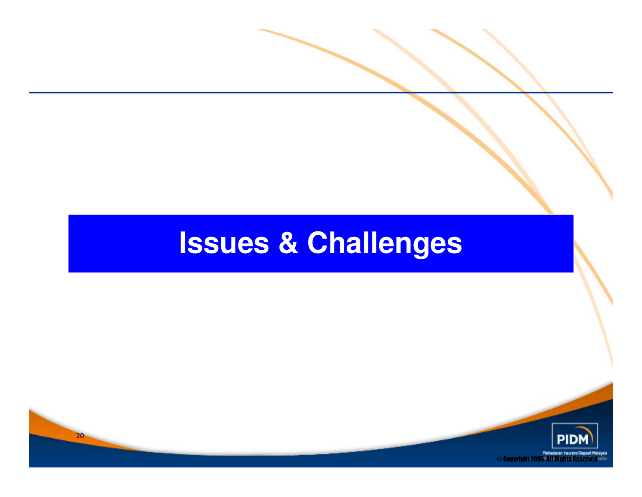# **Issues & Challenges**

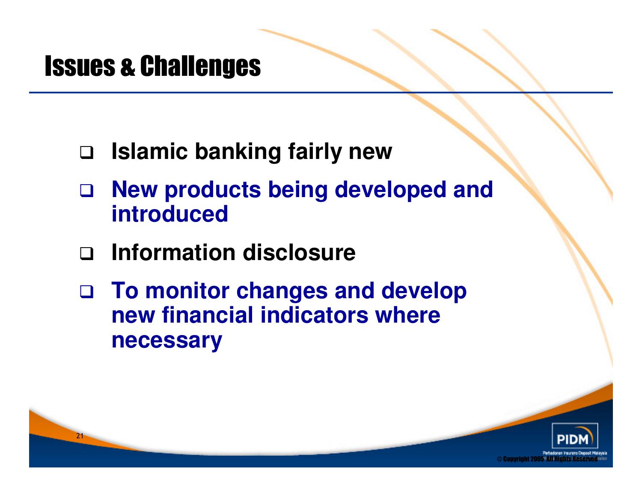#### Issues & Challenges

- **Islamic banking fairly new**
- $\Box$  **New products being developed and introduced**
- $\Box$ **Information disclosure**
- **To monitor changes and develop new financial indicators where necessary**

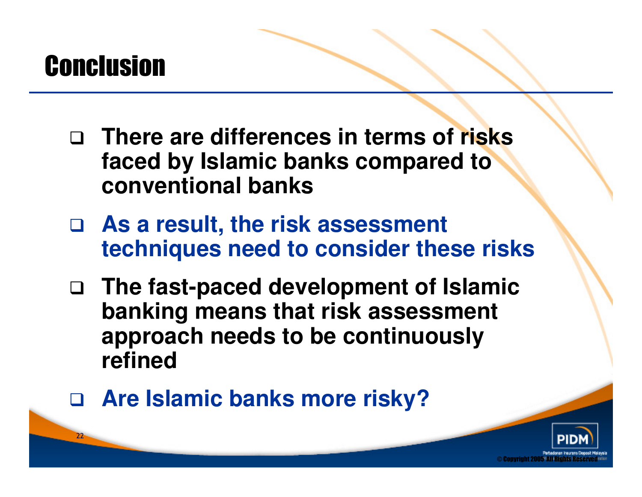## **Conclusion**

- **There are differences in terms of risks faced by Islamic banks compared to conventional banks**
- **As a result, the risk assessment techniques need to consider these risks**
- **The fast-paced development of Islamic banking means that risk assessment approach needs to be continuously refined**
- **Are Islamic banks more risky?**

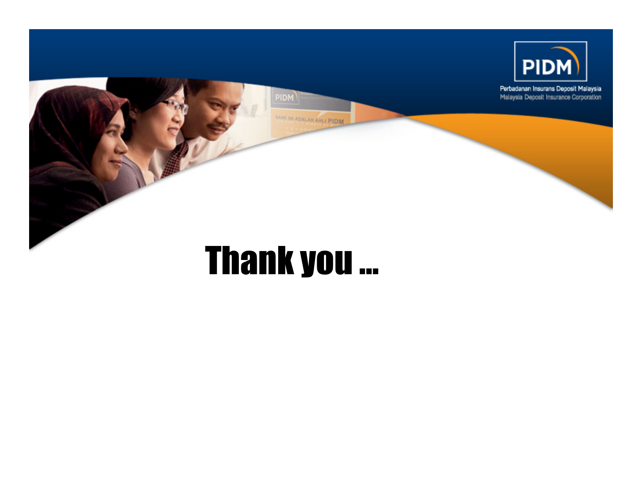

# Thank you …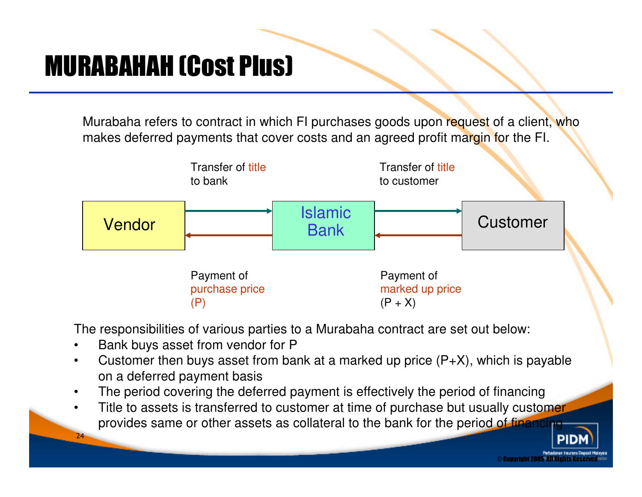### MURABAHAH (Cost Plus)

Murabaha refers to contract in which FI purchases goods upon request of a client, who makes deferred payments that cover costs and an agreed profit margin for the FI.



The responsibilities of various parties to a Murabaha contract are set out below:

•Bank buys asset from vendor for P

24

- Customer then buys asset from bank at a marked up price  $(P+X)$ , which is payable •on a deferred payment basis
- The period covering the deferred payment is effectively the period of financing•
- Title to assets is transferred to customer at time of purchase but usually customer •provides same or other assets as collateral to the bank for the period of financi

© Copyright 2005 All Rights Reser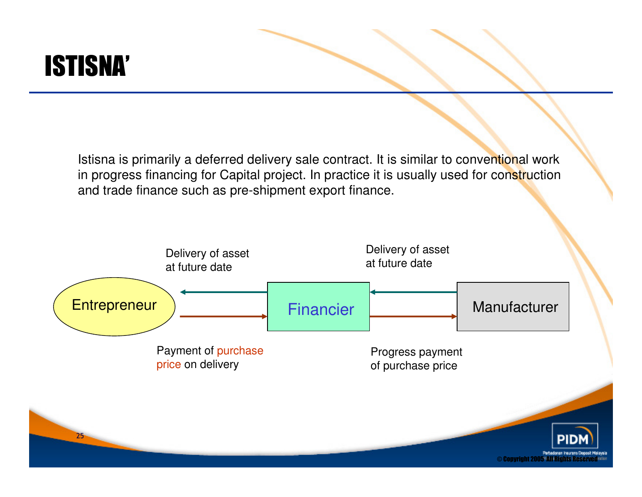

Istisna is primarily a deferred delivery sale contract. It is similar to conventional work in progress financing for Capital project. In practice it is usually used for construction and trade finance such as pre-shipment export finance.

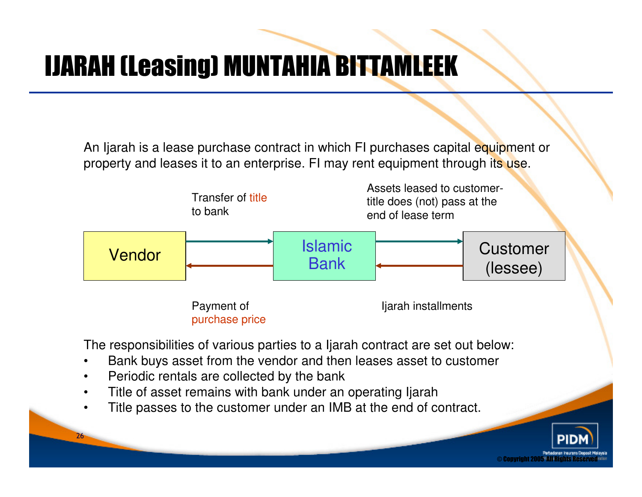## IJARAH (Leasing) MUNTAHIA BITTAMLEEK

An Ijarah is a lease purchase contract in which FI purchases capital equipment or property and leases it to an enterprise. FI may rent equipment through its use.



© Copyright 2005' All Rights Res

The responsibilities of various parties to a Ijarah contract are set out below:

- •Bank buys asset from the vendor and then leases asset to customer
- •Periodic rentals are collected by the bank

- Title of asset remains with bank under an operating Ijarah•
- Title passes to the customer under an IMB at the end of contract. •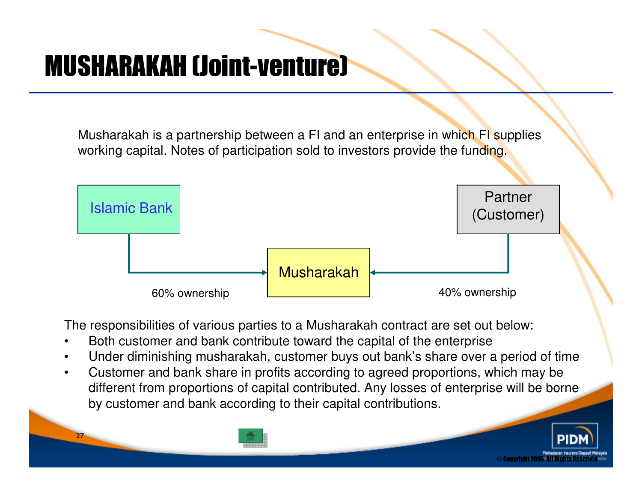### MUSHARAKAH (Joint-venture)

27

Musharakah is a partnership between a FI and an enterprise in which FI supplies working capital. Notes of participation sold to investors provide the funding.



The responsibilities of various parties to a Musharakah contract are set out below:

- •Both customer and bank contribute toward the capital of the enterprise
- Under diminishing musharakah, customer buys out bank's share over a period of time•
- • Customer and bank share in profits according to agreed proportions, which may be different from proportions of capital contributed. Any losses of enterprise will be borne by customer and bank according to their capital contributions.

© Copyright 2005° All Rights R